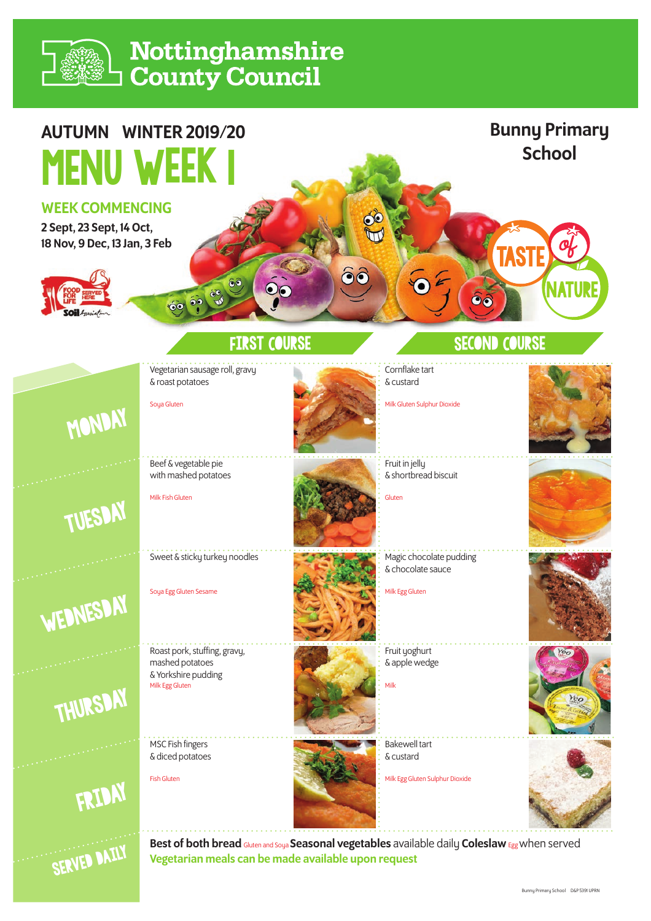

# **Nottinghamshire<br>County Council**

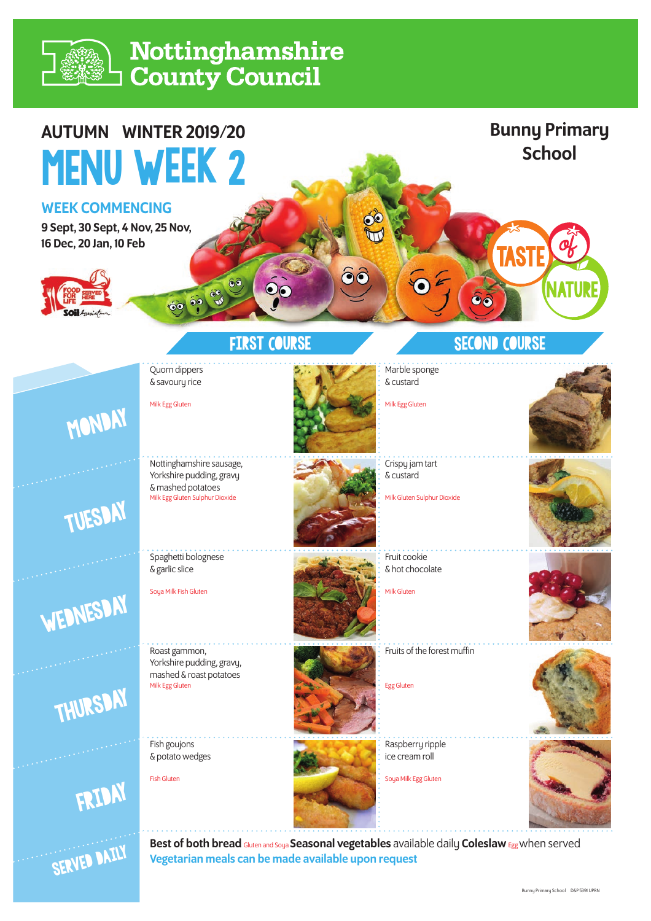

## Nottinghamshire **County Council**

#### Bunny Primary AUTUMN WINTER 2019/20 **School MENU WEEK 2** WEEK COMMENCING 9 Sept, 30 Sept, 4 Nov, 25 Nov, 16 Dec, 20 Jan, 10 Feb **IST**  $\odot$  $\ddot{\mathbf{O}}$ to the \*+,-.%/01,-' 2'3045%/01,-' Quorn dippers Marble sponge & custard & savoury rice Milk Egg Gluten Milk Egg Gluten MONDAY Nottinghamshire sausage, Crispy jam tart Yorkshire pudding, gravy & custard & mashed potatoes Milk Egg Gluten Sulphur Dioxide Milk Gluten Sulphur Dioxide TUESDAY Spaghetti bolognese Fruit cookie & garlic slice & hot chocolate Soua Milk Fish Gluten Milk Gluten WEDNESDAY Fruits of the forest muffin Roast gammon, Yorkshire pudding, gravy, mashed & roast potatoes

THURSDAY

FRIEN

SERVED DAILY

Fish goujons & potato wedges

Milk Egg Gluten

Fish Gluten



Soya Milk Egg Gluten



Best of both bread Gluten and Soya Seasonal vegetables available daily Coleslaw Egg when served Vegetarian meals can be made available upon request

Egg Gluten

Raspberry ripple ice cream roll

Bunny Primary School D&P 5391 UPRN